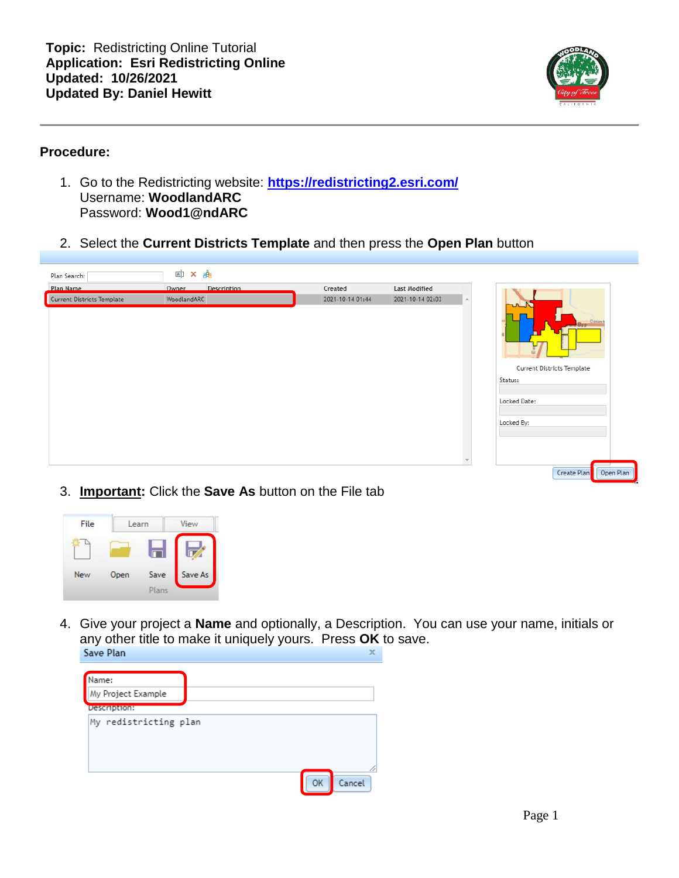

#### **Procedure:**

- 1. Go to the Redistricting website: **<https://redistricting2.esri.com/>** Username: **WoodlandARC** Password: **Wood1@ndARC**
- 2. Select the **Current Districts Template** and then press the **Open Plan** button

| Description<br>Owner<br>Created<br>Last Modified<br>WoodlandARC<br>2021-10-14 01:44<br>2021-10-14 02:03<br>$\Delta \mathbf{k}$<br>سے<br>Byp <sup>:</sup> Count<br>Current Districts Template<br>Status:<br>Locked Date:<br>Locked By: | Plan Search:               | $\overline{\mathbb{A}}$ ]<br>௸<br>× |  |  |
|---------------------------------------------------------------------------------------------------------------------------------------------------------------------------------------------------------------------------------------|----------------------------|-------------------------------------|--|--|
|                                                                                                                                                                                                                                       | Plan Name                  |                                     |  |  |
|                                                                                                                                                                                                                                       | Current Districts Template |                                     |  |  |

3. **Important:** Click the **Save As** button on the File tab



4. Give your project a **Name** and optionally, a Description. You can use your name, initials or any other title to make it uniquely yours. Press **OK** to save.  $\mathbb X$ 

| Name:                 |
|-----------------------|
| My Project Example    |
| Description:          |
| My redistricting plan |
|                       |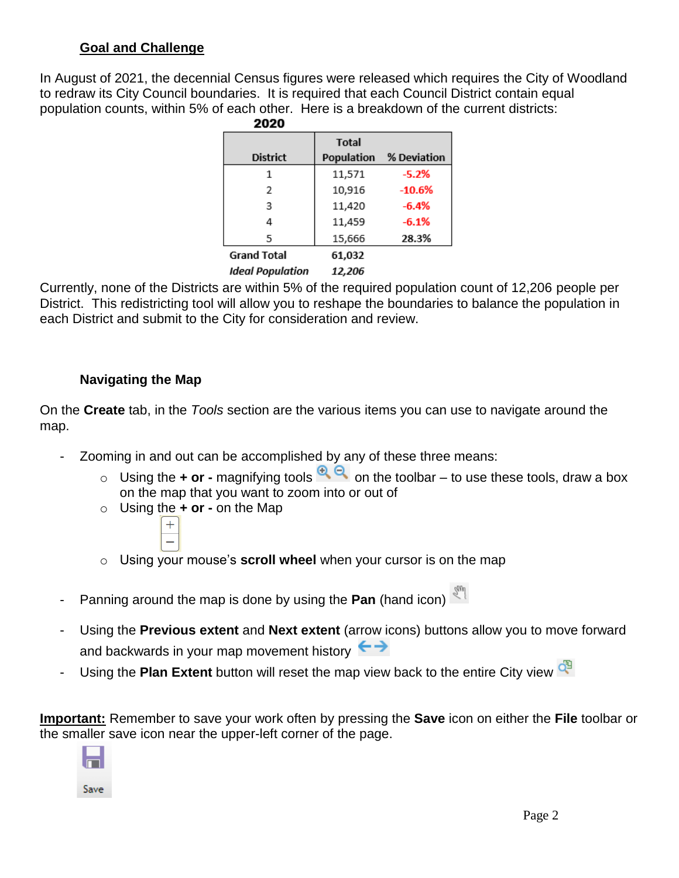### **Goal and Challenge**

In August of 2021, the decennial Census figures were released which requires the City of Woodland to redraw its City Council boundaries. It is required that each Council District contain equal population counts, within 5% of each other. Here is a breakdown of the current districts: 2020

| <b>District</b>         | <b>Total</b><br>Population | % Deviation |
|-------------------------|----------------------------|-------------|
|                         | 11,571                     | $-5.2%$     |
| $\overline{2}$          | 10,916                     | $-10.6%$    |
| 3                       | 11,420                     | $-6.4%$     |
| 4                       | 11,459                     | $-6.1%$     |
| 5                       | 15,666                     | 28.3%       |
| <b>Grand Total</b>      | 61,032                     |             |
| <b>Ideal Population</b> | 12,206                     |             |

Currently, none of the Districts are within 5% of the required population count of 12,206 people per District. This redistricting tool will allow you to reshape the boundaries to balance the population in each District and submit to the City for consideration and review.

## **Navigating the Map**

On the **Create** tab, in the *Tools* section are the various items you can use to navigate around the map.

- Zooming in and out can be accomplished by any of these three means:
	- o Using the **+ or** magnifying tools  $\bigoplus$  on the toolbar to use these tools, draw a box on the map that you want to zoom into or out of
	- o Using the **+ or -** on the Map



- o Using your mouse's **scroll wheel** when your cursor is on the map
- Panning around the map is done by using the Pan (hand icon)
- Using the **Previous extent** and **Next extent** (arrow icons) buttons allow you to move forward and backwards in your map movement history  $\leftrightarrow$
- Using the **Plan Extent** button will reset the map view back to the entire City view

**Important:** Remember to save your work often by pressing the **Save** icon on either the **File** toolbar or the smaller save icon near the upper-left corner of the page.

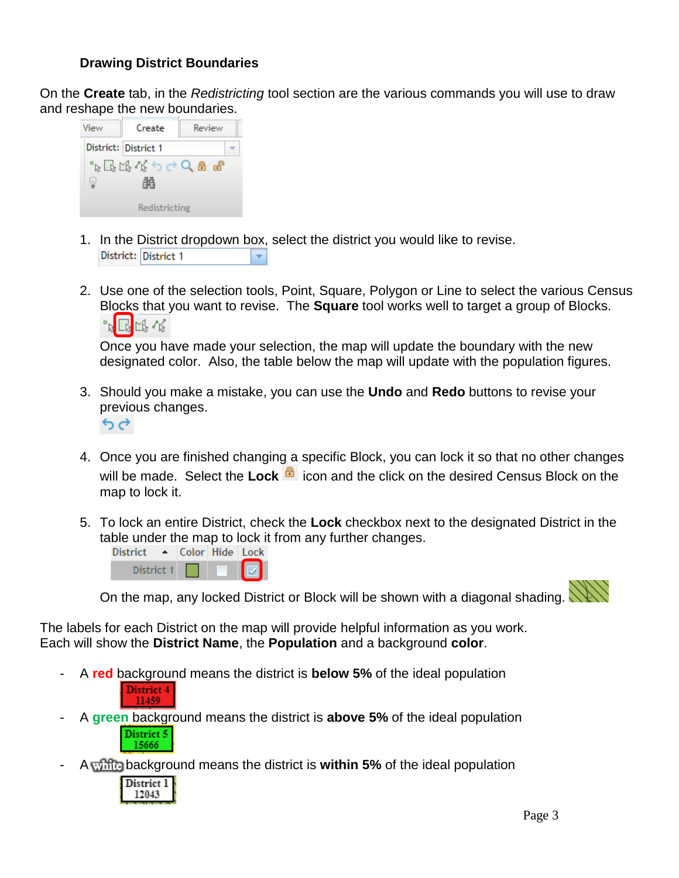### **Drawing District Boundaries**

On the **Create** tab, in the *Redistricting* tool section are the various commands you will use to draw and reshape the new boundaries.

| View | Create               | Review                   |
|------|----------------------|--------------------------|
|      | District: District 1 |                          |
|      | 3673733              | $\mathbb{F}^2$<br>舟<br>O |
|      |                      |                          |
|      | Redistricting        |                          |

- 1. In the District dropdown box, select the district you would like to revise. District: District 1 ¥
- 2. Use one of the selection tools, Point, Square, Polygon or Line to select the various Census Blocks that you want to revise. The **Square** tool works well to target a group of Blocks. 『『呼吸

Once you have made your selection, the map will update the boundary with the new designated color. Also, the table below the map will update with the population figures.

- 3. Should you make a mistake, you can use the **Undo** and **Redo** buttons to revise your previous changes.
	- $6d$
- 4. Once you are finished changing a specific Block, you can lock it so that no other changes will be made. Select the Lock **in the latta and the click on the desired Census Block on the** map to lock it.
- 5. To lock an entire District, check the **Lock** checkbox next to the designated District in the table under the map to lock it from any further changes.<br>District  $\rightarrow$  Color Hide Lock



On the map, any locked District or Block will be shown with a diagonal shading.

The labels for each District on the map will provide helpful information as you work.

Each will show the **District Name**, the **Population** and a background **color**.

- A **red** background means the district is **below 5%** of the ideal population District 4
- A **green** background means the district is **above 5%** of the ideal population District 5 15666
- A white background means the district is **within 5%** of the ideal population



11459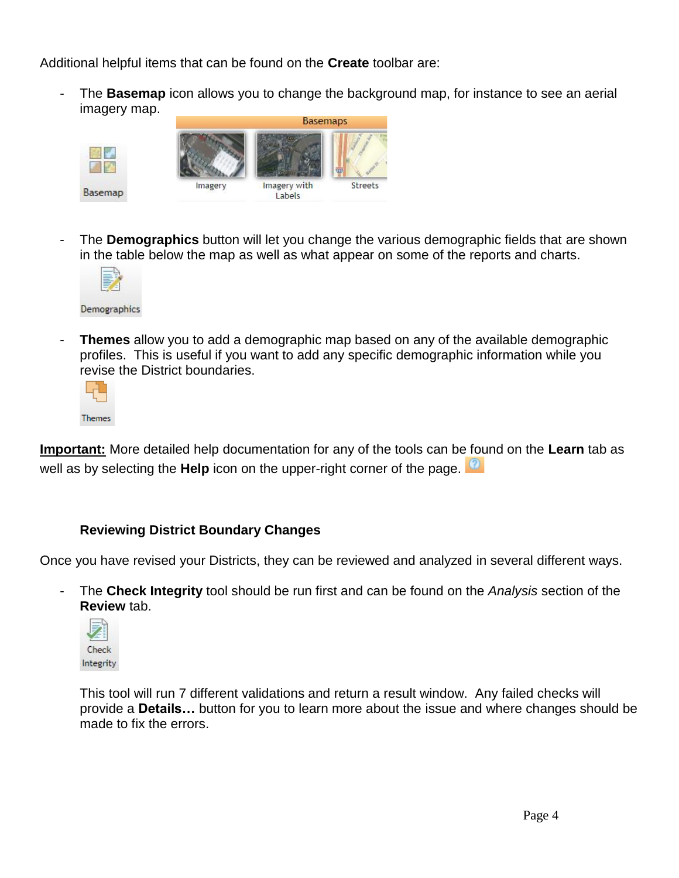Additional helpful items that can be found on the **Create** toolbar are:

The **Basemap** icon allows you to change the background map, for instance to see an aerial imagery map.



The **Demographics** button will let you change the various demographic fields that are shown in the table below the map as well as what appear on some of the reports and charts.



**Themes** allow you to add a demographic map based on any of the available demographic profiles. This is useful if you want to add any specific demographic information while you revise the District boundaries.



**Important:** More detailed help documentation for any of the tools can be found on the **Learn** tab as well as by selecting the **Help** icon on the upper-right corner of the page.

# **Reviewing District Boundary Changes**

Once you have revised your Districts, they can be reviewed and analyzed in several different ways.

- The **Check Integrity** tool should be run first and can be found on the *Analysis* section of the **Review** tab.



This tool will run 7 different validations and return a result window. Any failed checks will provide a **Details…** button for you to learn more about the issue and where changes should be made to fix the errors.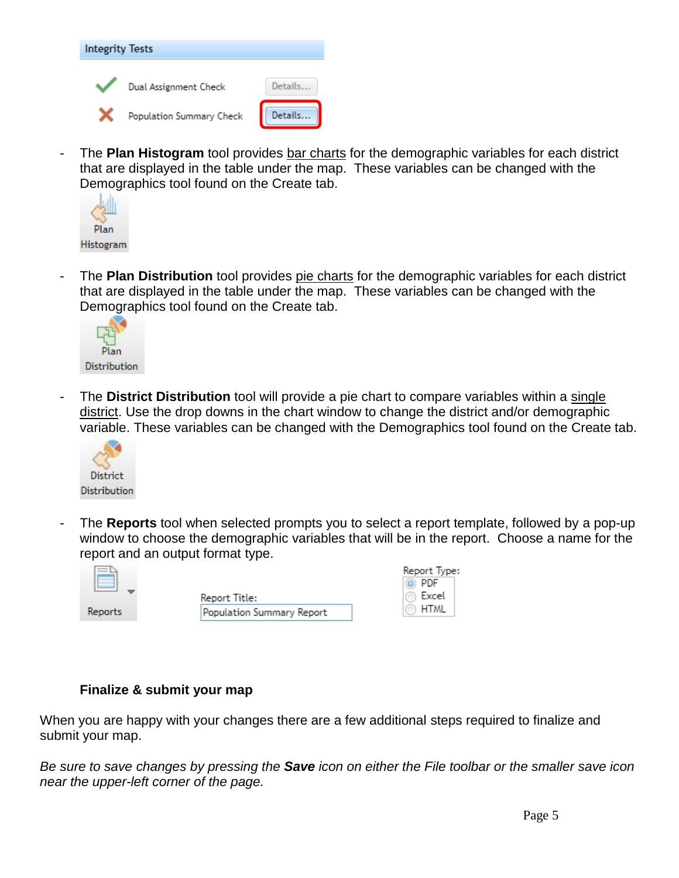

The **Plan Histogram** tool provides bar charts for the demographic variables for each district that are displayed in the table under the map. These variables can be changed with the Demographics tool found on the Create tab.



- The **Plan Distribution** tool provides pie charts for the demographic variables for each district that are displayed in the table under the map. These variables can be changed with the Demographics tool found on the Create tab.



- The **District Distribution** tool will provide a pie chart to compare variables within a single district. Use the drop downs in the chart window to change the district and/or demographic variable. These variables can be changed with the Demographics tool found on the Create tab.



- The **Reports** tool when selected prompts you to select a report template, followed by a pop-up window to choose the demographic variables that will be in the report. Choose a name for the report and an output format type.



| Report Title:             |
|---------------------------|
| Population Summary Report |

|         | Report Type: |
|---------|--------------|
|         | $\odot$ PDF  |
| $\circ$ | Excel        |
|         | <b>HTML</b>  |

#### **Finalize & submit your map**

When you are happy with your changes there are a few additional steps required to finalize and submit your map.

*Be sure to save changes by pressing the Save icon on either the File toolbar or the smaller save icon near the upper-left corner of the page.*